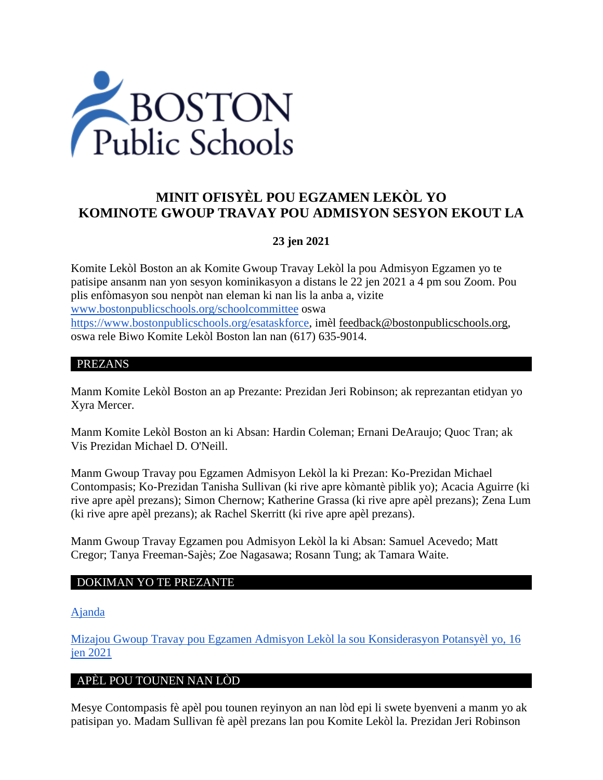

# **MINIT OFISYÈL POU EGZAMEN LEKÒL YO KOMINOTE GWOUP TRAVAY POU ADMISYON SESYON EKOUT LA**

## **23 jen 2021**

Komite Lekòl Boston an ak Komite Gwoup Travay Lekòl la pou Admisyon Egzamen yo te patisipe ansanm nan yon sesyon kominikasyon a distans le 22 jen 2021 a 4 pm sou Zoom. Pou plis enfòmasyon sou nenpòt nan eleman ki nan lis la anba a, vizite [www.bostonpublicschools.org/schoolcommittee](https://www.bostonpublicschools.org/domain/162) oswa [https://www.bostonpublicschools.org/esataskforce,](https://www.bostonpublicschools.org/esataskforce) imèl [feedback@bostonpublicschools.org,](mailto:feedback@bostonpublicschools.org) oswa rele Biwo Komite Lekòl Boston lan nan (617) 635-9014.

#### PREZANS

Manm Komite Lekòl Boston an ap Prezante: Prezidan Jeri Robinson; ak reprezantan etidyan yo Xyra Mercer.

Manm Komite Lekòl Boston an ki Absan: Hardin Coleman; Ernani DeAraujo; Quoc Tran; ak Vis Prezidan Michael D. O'Neill.

Manm Gwoup Travay pou Egzamen Admisyon Lekòl la ki Prezan: Ko-Prezidan Michael Contompasis; Ko-Prezidan Tanisha Sullivan (ki rive apre kòmantè piblik yo); Acacia Aguirre (ki rive apre apèl prezans); Simon Chernow; Katherine Grassa (ki rive apre apèl prezans); Zena Lum (ki rive apre apèl prezans); ak Rachel Skerritt (ki rive apre apèl prezans).

Manm Gwoup Travay Egzamen pou Admisyon Lekòl la ki Absan: Samuel Acevedo; Matt Cregor; Tanya Freeman-Sajès; Zoe Nagasawa; Rosann Tung; ak Tamara Waite.

## DOKIMAN YO TE PREZANTE

#### [Ajanda](https://www.boston.gov/public-notices/15756256)

[Mizajou Gwoup Travay pou Egzamen Admisyon Lekòl la sou Konsiderasyon Potansyèl](https://www.bostonpublicschools.org/cms/lib/MA01906464/Centricity/Domain/162/Exam%20Schools%20Task%20Force%20Presentation%20to%20School%20Committee%20Final%202.pdf) yo, 16 [jen 2021](https://www.bostonpublicschools.org/cms/lib/MA01906464/Centricity/Domain/162/Exam%20Schools%20Task%20Force%20Presentation%20to%20School%20Committee%20Final%202.pdf) 

## APÈL POU TOUNEN NAN LÒD

Mesye Contompasis fè apèl pou tounen reyinyon an nan lòd epi li swete byenveni a manm yo ak patisipan yo. Madam Sullivan fè apèl prezans lan pou Komite Lekòl la. Prezidan Jeri Robinson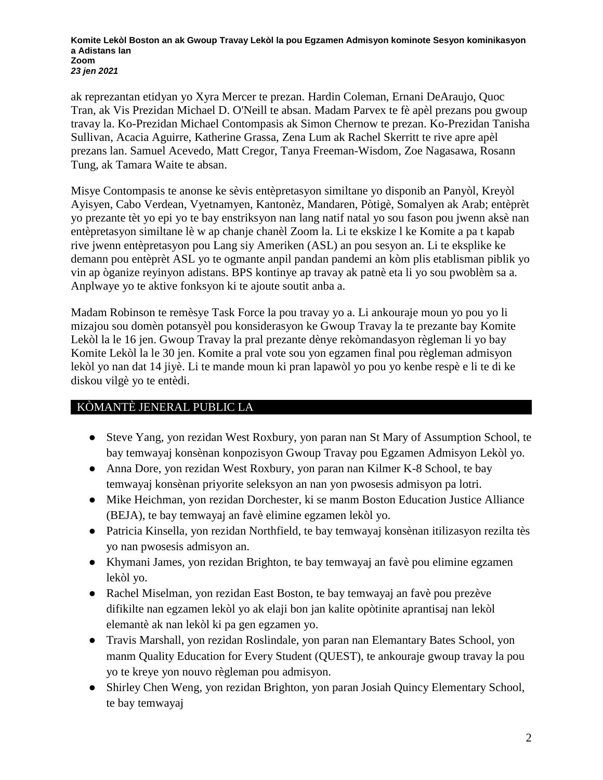**Komite Lekòl Boston an ak Gwoup Travay Lekòl la pou Egzamen Admisyon kominote Sesyon kominikasyon a Adistans lan Zoom** *23 jen 2021*

ak reprezantan etidyan yo Xyra Mercer te prezan. Hardin Coleman, Ernani DeAraujo, Quoc Tran, ak Vis Prezidan Michael D. O'Neill te absan. Madam Parvex te fè apèl prezans pou gwoup travay la. Ko-Prezidan Michael Contompasis ak Simon Chernow te prezan. Ko-Prezidan Tanisha Sullivan, Acacia Aguirre, Katherine Grassa, Zena Lum ak Rachel Skerritt te rive apre apèl prezans lan. Samuel Acevedo, Matt Cregor, Tanya Freeman-Wisdom, Zoe Nagasawa, Rosann Tung, ak Tamara Waite te absan.

Misye Contompasis te anonse ke sèvis entèpretasyon similtane yo disponib an Panyòl, Kreyòl Ayisyen, Cabo Verdean, Vyetnamyen, Kantonèz, Mandaren, Pòtigè, Somalyen ak Arab; entèprèt yo prezante tèt yo epi yo te bay enstriksyon nan lang natif natal yo sou fason pou jwenn aksè nan entèpretasyon similtane lè w ap chanje chanèl Zoom la. Li te ekskize l ke Komite a pa t kapab rive jwenn entèpretasyon pou Lang siy Ameriken (ASL) an pou sesyon an. Li te eksplike ke demann pou entèprèt ASL yo te ogmante anpil pandan pandemi an kòm plis etablisman piblik yo vin ap òganize reyinyon adistans. BPS kontinye ap travay ak patnè eta li yo sou pwoblèm sa a. Anplwaye yo te aktive fonksyon ki te ajoute soutit anba a.

Madam Robinson te remèsye Task Force la pou travay yo a. Li ankouraje moun yo pou yo li mizajou sou domèn potansyèl pou konsiderasyon ke Gwoup Travay la te prezante bay Komite Lekòl la le 16 jen. Gwoup Travay la pral prezante dènye rekòmandasyon règleman li yo bay Komite Lekòl la le 30 jen. Komite a pral vote sou yon egzamen final pou règleman admisyon lekòl yo nan dat 14 jiyè. Li te mande moun ki pran lapawòl yo pou yo kenbe respè e li te di ke diskou vilgè yo te entèdi.

## KÒMANTÈ JENERAL PUBLIC LA

- Steve Yang, yon rezidan West Roxbury, yon paran nan St Mary of Assumption School, te bay temwayaj konsènan konpozisyon Gwoup Travay pou Egzamen Admisyon Lekòl yo.
- Anna Dore, yon rezidan West Roxbury, yon paran nan Kilmer K-8 School, te bay temwayaj konsènan priyorite seleksyon an nan yon pwosesis admisyon pa lotri.
- Mike Heichman, yon rezidan Dorchester, ki se manm Boston Education Justice Alliance (BEJA), te bay temwayaj an favè elimine egzamen lekòl yo.
- Patricia Kinsella, yon rezidan Northfield, te bay temwayaj konsènan itilizasyon rezilta tès yo nan pwosesis admisyon an.
- Khymani James, yon rezidan Brighton, te bay temwayaj an favè pou elimine egzamen lekòl yo.
- Rachel Miselman, yon rezidan East Boston, te bay temwayaj an favè pou prezève difikilte nan egzamen lekòl yo ak elaji bon jan kalite opòtinite aprantisaj nan lekòl elemantè ak nan lekòl ki pa gen egzamen yo.
- Travis Marshall, yon rezidan Roslindale, yon paran nan Elemantary Bates School, yon manm Quality Education for Every Student (QUEST), te ankouraje gwoup travay la pou yo te kreye yon nouvo règleman pou admisyon.
- Shirley Chen Weng, yon rezidan Brighton, yon paran Josiah Quincy Elementary School, te bay temwayaj